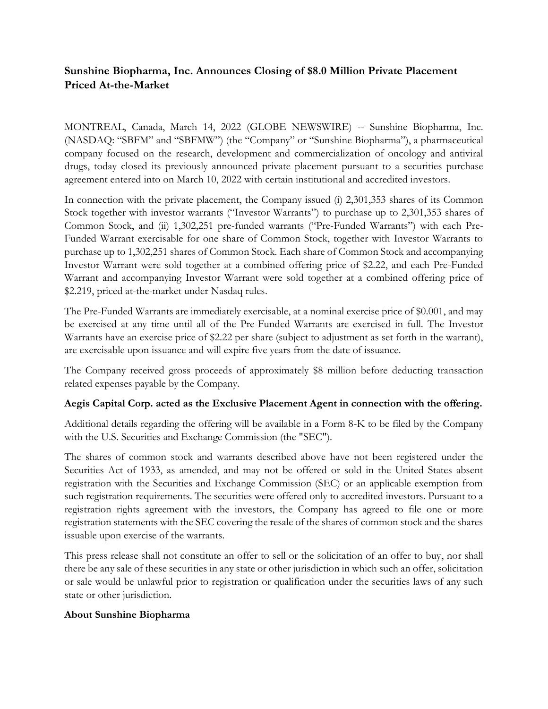# **Sunshine Biopharma, Inc. Announces Closing of \$8.0 Million Private Placement Priced At-the-Market**

MONTREAL, Canada, March 14, 2022 (GLOBE NEWSWIRE) -- Sunshine Biopharma, Inc. (NASDAQ: "SBFM" and "SBFMW") (the "Company" or "Sunshine Biopharma"), a pharmaceutical company focused on the research, development and commercialization of oncology and antiviral drugs, today closed its previously announced private placement pursuant to a securities purchase agreement entered into on March 10, 2022 with certain institutional and accredited investors.

In connection with the private placement, the Company issued (i) 2,301,353 shares of its Common Stock together with investor warrants ("Investor Warrants") to purchase up to 2,301,353 shares of Common Stock, and (ii) 1,302,251 pre-funded warrants ("Pre-Funded Warrants") with each Pre-Funded Warrant exercisable for one share of Common Stock, together with Investor Warrants to purchase up to 1,302,251 shares of Common Stock. Each share of Common Stock and accompanying Investor Warrant were sold together at a combined offering price of \$2.22, and each Pre-Funded Warrant and accompanying Investor Warrant were sold together at a combined offering price of \$2.219, priced at-the-market under Nasdaq rules.

The Pre-Funded Warrants are immediately exercisable, at a nominal exercise price of \$0.001, and may be exercised at any time until all of the Pre-Funded Warrants are exercised in full. The Investor Warrants have an exercise price of \$2.22 per share (subject to adjustment as set forth in the warrant), are exercisable upon issuance and will expire five years from the date of issuance.

The Company received gross proceeds of approximately \$8 million before deducting transaction related expenses payable by the Company.

## **Aegis Capital Corp. acted as the Exclusive Placement Agent in connection with the offering.**

Additional details regarding the offering will be available in a Form 8-K to be filed by the Company with the U.S. Securities and Exchange Commission (the "SEC").

The shares of common stock and warrants described above have not been registered under the Securities Act of 1933, as amended, and may not be offered or sold in the United States absent registration with the Securities and Exchange Commission (SEC) or an applicable exemption from such registration requirements. The securities were offered only to accredited investors. Pursuant to a registration rights agreement with the investors, the Company has agreed to file one or more registration statements with the SEC covering the resale of the shares of common stock and the shares issuable upon exercise of the warrants.

This press release shall not constitute an offer to sell or the solicitation of an offer to buy, nor shall there be any sale of these securities in any state or other jurisdiction in which such an offer, solicitation or sale would be unlawful prior to registration or qualification under the securities laws of any such state or other jurisdiction.

## **About Sunshine Biopharma**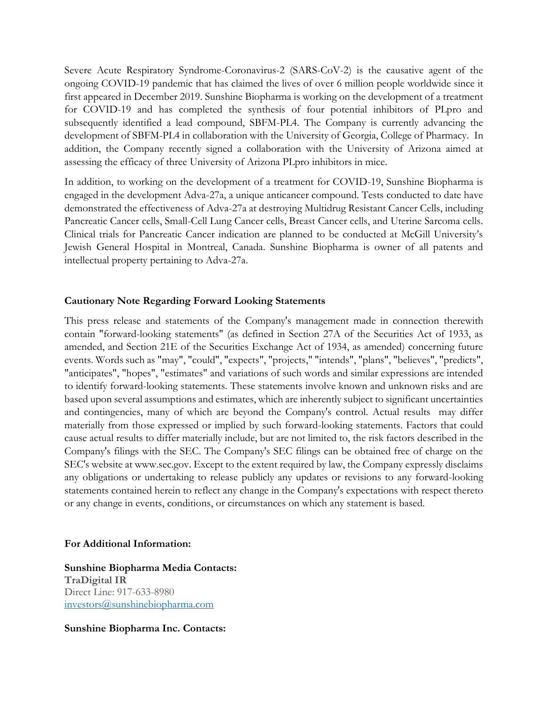Severe Acute Respiratory Syndrome-Coronavirus-2 (SARS-CoV-2) is the causative agent of the ongoing COVID-19 pandemic that has claimed the lives of over 6 million people worldwide since it first appeared in December 2019. Sunshine Biopharma is working on the development of a treatment for COVID-19 and has completed the synthesis of four potential inhibitors of PLpro and subsequently identified a lead compound, SBFM-PL4. The Company is currently advancing the development of SBFM-PL4 in collaboration with the University of Georgia, College of Pharmacy. In addition, the Company recently signed a collaboration with the University of Arizona aimed at assessing the efficacy of three University of Arizona PLpro inhibitors in mice.

In addition, to working on the development of a treatment for COVID-19, Sunshine Biopharma is engaged in the development Adva-27a, a unique anticancer compound. Tests conducted to date have demonstrated the effectiveness of Adva-27a at destroying Multidrug Resistant Cancer Cells, including Pancreatic Cancer cells, Small-Cell Lung Cancer cells, Breast Cancer cells, and Uterine Sarcoma cells. Clinical trials for Pancreatic Cancer indication are planned to be conducted at McGill University's Jewish General Hospital in Montreal, Canada. Sunshine Biopharma is owner of all patents and intellectual property pertaining to Adva-27a.

#### **Cautionary Note Regarding Forward Looking Statements**

This press release and statements of the Company's management made in connection therewith contain "forward-looking statements" (as defined in Section 27A of the Securities Act of 1933, as amended, and Section 21E of the Securities Exchange Act of 1934, as amended) concerning future events. Words such as "may", "could", "expects", "projects," "intends", "plans", "believes", "predicts", "anticipates", "hopes", "estimates" and variations of such words and similar expressions are intended to identify forward-looking statements. These statements involve known and unknown risks and are based upon several assumptions and estimates, which are inherently subject to significant uncertainties and contingencies, many of which are beyond the Company's control. Actual results may differ materially from those expressed or implied by such forward-looking statements. Factors that could cause actual results to differ materially include, but are not limited to, the risk factors described in the Company's filings with the SEC. The Company's SEC filings can be obtained free of charge on the SEC's website at www.sec.gov. Except to the extent required by law, the Company expressly disclaims any obligations or undertaking to release publicly any updates or revisions to any forward-looking statements contained herein to reflect any change in the Company's expectations with respect thereto or any change in events, conditions, or circumstances on which any statement is based.

#### **For Additional Information:**

**Sunshine Biopharma Media Contacts: TraDigital IR** Direct Line: 917-633-8980 [investors@sunshinebiopharma.com](mailto:investors@sunshinebiopharma.com)

**Sunshine Biopharma Inc. Contacts:**